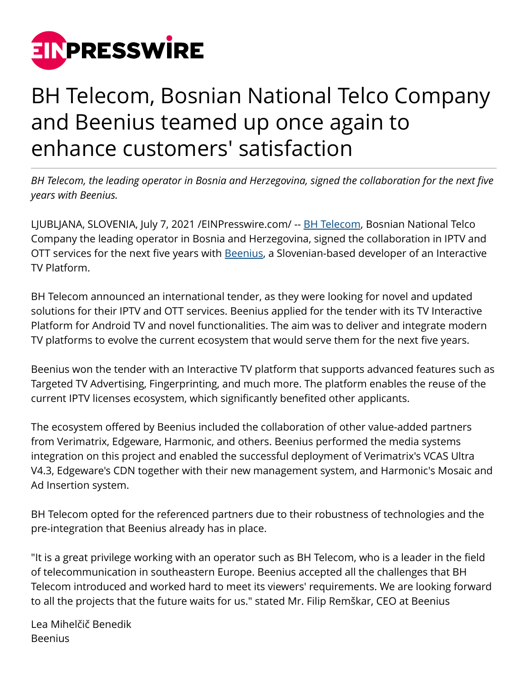

## BH Telecom, Bosnian National Telco Company and Beenius teamed up once again to enhance customers' satisfaction

*BH Telecom, the leading operator in Bosnia and Herzegovina, signed the collaboration for the next five years with Beenius.*

LJUBLJANA, SLOVENIA, July 7, 2021 /[EINPresswire.com/](http://www.einpresswire.com) -- [BH Telecom](https://www.bhtelecom.ba/), Bosnian National Telco Company the leading operator in Bosnia and Herzegovina, signed the collaboration in IPTV and OTT services for the next five years with **[Beenius](http://www.beenius.tv)**, a Slovenian-based developer of an Interactive TV Platform.

BH Telecom announced an international tender, as they were looking for novel and updated solutions for their IPTV and OTT services. Beenius applied for the tender with its TV Interactive Platform for Android TV and novel functionalities. The aim was to deliver and integrate modern TV platforms to evolve the current ecosystem that would serve them for the next five years.

Beenius won the tender with an Interactive TV platform that supports advanced features such as Targeted TV Advertising, Fingerprinting, and much more. The platform enables the reuse of the current IPTV licenses ecosystem, which significantly benefited other applicants.

The ecosystem offered by Beenius included the collaboration of other value-added partners from Verimatrix, Edgeware, Harmonic, and others. Beenius performed the media systems integration on this project and enabled the successful deployment of Verimatrix's VCAS Ultra V4.3, Edgeware's CDN together with their new management system, and Harmonic's Mosaic and Ad Insertion system.

BH Telecom opted for the referenced partners due to their robustness of technologies and the pre-integration that Beenius already has in place.

"It is a great privilege working with an operator such as BH Telecom, who is a leader in the field of telecommunication in southeastern Europe. Beenius accepted all the challenges that BH Telecom introduced and worked hard to meet its viewers' requirements. We are looking forward to all the projects that the future waits for us." stated Mr. Filip Remškar, CEO at Beenius

Lea Mihelčič Benedik Beenius